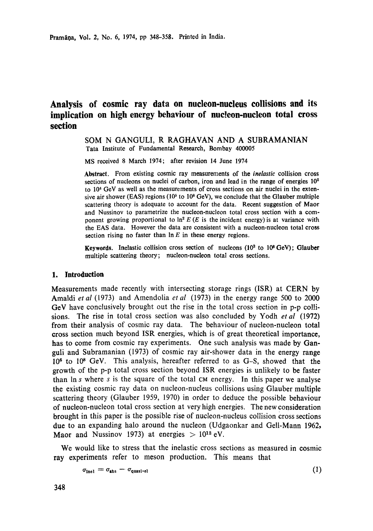# **Analysis of cosmic ray data on nucleon-nucleus collisions and its implication on high energy behaviour of nucleon-nucleon total cross section**

#### SOM N GANGULI, R RAGHAVAN AND A SUBRAMANIAN Tata Institute of Fundamental Research, Bombay 400005

MS received 8 March 1974; after revision 14 June 1974

**Abstract.** From existing cosmic ray measurements of the *inelastic* collision cross sections of nucleons on nuclei of carbon, iron and lead in the range of energies  $10<sup>2</sup>$ to 104 GeV as well as the measurements of cross sections on air nuclei in the **extensive** air shower (EAS) regions (105 to 108 GeV), we conclude that the Glauber multiple scattering theory is adequate to account for the data. Recent suggestion of Maor and Nussinov to parametrize the nucleon-nucleon total cross section with a component growing proportional to  $\ln^2 E(E)$  is the incident energy) is at variance with the EAS data. However the data are consistent with a nucleon-nucleon total cross section rising no faster than  $\ln E$  in these energy regions.

**Keywords.** Inelastic collision cross section of nucleons (10<sup>2</sup> to 10<sup>8</sup> GeV); Glauber multiple scattering theory; nucleon-nucleon total cross sections.

#### **1. Introduction**

Measurements made recently with intersecting storage rings (ISR) at CERN by Amaldi *et al* (1973) and Amendolia *et al* (1973) in the energy range 500 to 2000 GeV have conclusively brought out the rise in the total cross section in p-p collisions. The rise in total cross section was also concluded by Yodh *et al* (1972) from their analysis of cosmic ray data. The behaviour of nucleon-nucleon total cross section much beyond ISR energies, which is of great theoretical importance, has to come from cosmic ray experiments. One such analysis was made by Ganguli and Subramanian (1973) of cosmic ray air-shower data in the energy range 10<sup>6</sup> to 10<sup>8</sup> GeV. This analysis, hereafter referred to as G-S, showed that the growth of the p-p total cross section beyond ISR energies is unlikely to be faster than In s where s is the square of the total CM energy. In this paper we analyse the existing cosmic ray data on nucleon-nucleus collisions using Glauber multiple scattering theory (Glauber 1959, 1970) in order to deduce the possible behaviour of nucleon-nucleon total cross section at very high energies. The new consideration brought in this paper is the possible rise of nucleon-nucleus collision cross sections due to an expanding halo around the nucleon (Udgaonkar and Gell-Mann 1962, Maor and Nussinov 1973) at energies  $> 10^{12}$  eV.

We would like to stress that the inelastic cross sections as measured in cosmic **ray** experiments refer to meson production. This means that

$$
\sigma_{\text{inel}} = \sigma_{\text{abs}} - \sigma_{\text{quasi-el}} \tag{1}
$$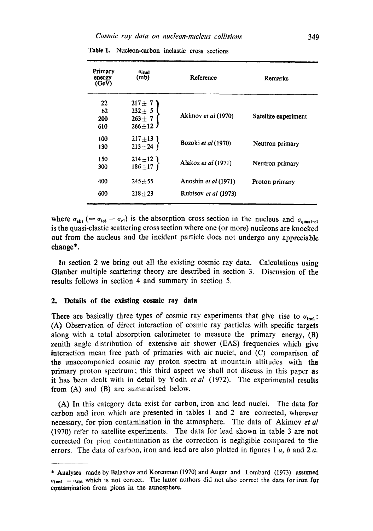| Primary<br>energy<br>(GeV) | $\sigma$ inel<br>(m <sub>b</sub> )                      | Reference            | Remarks              |
|----------------------------|---------------------------------------------------------|----------------------|----------------------|
| 22<br>62<br>200<br>610     | $217 \pm 7$<br>$232 \pm 5$<br>$263 + 7$<br>$266 \pm 12$ | Akimov et al (1970)  | Satellite experiment |
| 100<br>130                 | $217 \pm 13$<br>$213 + 24$                              | Bozoki et al (1970)  | Neutron primary      |
| 150<br>300                 | $214 \pm 12$ )<br>$186 + 17$                            | Alakoz et al (1971)  | Neutron primary      |
| 400                        | $245 + 55$                                              | Anoshin et al (1971) | Proton primary       |
| 600                        | $218 + 23$                                              | Rubtsov et al (1973) |                      |

Table 1. Nucleon-carbon inelastic cross sections

where  $\sigma_{\text{abs}}$  (=  $\sigma_{\text{tot}} - \sigma_{\text{el}}$ ) is the absorption cross section in the nucleus and  $\sigma_{\text{quasi-el}}$ is the quasi-elastic scattering cross section where one (or more) nucleons are knocked out from the nucleus and the incident particle does not undergo any appreciable change\*.

In section 2 we bring out all the existing cosmic ray data. Calculations using Glauber multiple scattering theory are described in section 3. Discussion of the results follows in section 4 and summary in section 5.

#### **2. Details of the existing cosmic ray data**

There are basically three types of cosmic ray experiments that give rise to  $\sigma_{\text{inel}}$ : (A) Observation of direct interaction of cosmic ray particles with specific targets along with a total absorption calorimeter to measure the primary energy, (B) zenith angle distribution of extensive air shower (EAS) frequencies which give interaction mean free path of primaries with air nuclei, and (C) comparison of the unaccompanied cosmic ray proton spectra at mountain altitudes with the primary proton spectrum; this third aspect we shall not discuss in this paper as it has been dealt with in detail by Yodh *et al* (1972). The experimental results from (A) and (B) are summarised below.

(A) In this category data exist for carbon, iron and lead nuclei. The data for carbon and iron which are presented in tables 1 and 2 are corrected, wherever necessary, for pion contamination in the atmosphere. The data of Akimov *et al*  (1970) refer to satellite experiments. The data for lead shown in table 3 are not corrected for pion contamination as the correction is negligible compared to the errors. The data of carbon, iron and lead are also plotted in figures  $1 \, a$ ,  $b$  and  $2 \, a$ .

<sup>\*</sup> Analyses made by Balashov and Korenman (1970) and Auger and Lombard (1973) assumed  $\sigma_{\text{inel}} = \sigma_{\text{abs}}$  which is not correct. The latter authors did not also correct the data for iron for contamination from pions in the atmosphere,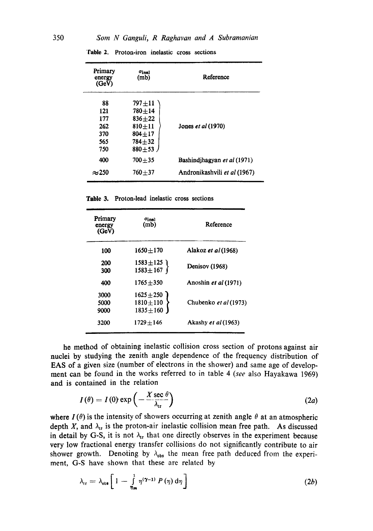| Primary<br>energy<br>(GeV) | $\sigma$ inel<br>(mb) | Reference                    |
|----------------------------|-----------------------|------------------------------|
| 88                         | $797 + 11$            |                              |
| 121                        | $780 + 14$            |                              |
| 177                        | $836 + 22$            |                              |
| 262                        | $810 + 11$            | Jones et al (1970)           |
| 370                        | $804 + 17$            |                              |
| 565                        | $784 + 32$            |                              |
| 750                        | $880 + 53$            |                              |
| 400                        | $700 + 35$            | Bashindjhagyan et al (1971)  |
| $\approx$ 250              | $760 + 37$            | Andronikashvili et al (1967) |

Table 2. Proton-iron inelastic cross sections

**Table** 3. Proton-lead inelastic cross sections

| Primary<br>energy<br>(GeV) | $\sigma_{\rm inel}$<br>(m <sub>b</sub> )         | Reference                  |
|----------------------------|--------------------------------------------------|----------------------------|
| 100                        | $1650 + 170$                                     | Alakoz <i>et al</i> (1968) |
| 200<br>300                 | $1583 \pm 125$<br>$1583 \pm 167$                 | Denisov (1968)             |
| 400                        | $1765 + 350$                                     | Anoshin et al (1971)       |
| 3000<br>5000<br>9000       | $1625 \pm 250$<br>$1810 + 110$<br>$1835 \pm 160$ | Chubenko et al (1973)      |
| 3200                       | 1729+146                                         | Akashy et al (1963)        |

he method of obtaining inelastic collision cross section of protons against air nuclei by studying the zenith angle dependence of the frequency distribution of EAS of a given size (number of electrons in the shower) and same age of development can be found in the works referred to in table 4 *(see* also Hayakawa 1969) and is contained in the relation

$$
I(\theta) = I(0) \exp\left(-\frac{X \sec \theta}{\lambda_{\text{tr}}}\right) \tag{2a}
$$

where  $I(\theta)$  is the intensity of showers occurring at zenith angle  $\theta$  at an atmospheric depth  $X$ , and  $\lambda_{tr}$  is the proton-air inelastic collision mean free path. As discussed in detail by G-S, it is not  $\lambda_{tr}$  that one directly observes in the experiment because very low fractional energy transfer collisions do not significantly contribute to air shower growth. Denoting by  $\lambda_{obs}$  the mean free path deduced from the experiment, G-S have shown that these are related by

$$
\lambda_{\rm tr} = \lambda_{\rm obs} \left[ 1 - \int_{\eta_{\rm m}}^1 \eta^{(\gamma - 1)} P(\eta) d\eta \right]
$$
 (2b)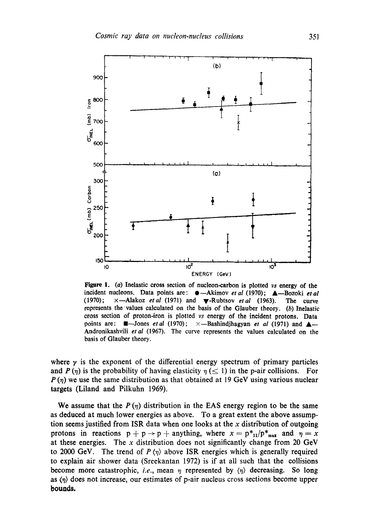

Figure 1. (a) Inelastic cross section of nucleon-carbon is plotted *vs* energy of the incident nucleons. Data points are:  $\bullet$ -Akimov *et al* (1970); **A**-Bozoki *et al* (1970); x--Alakoz *etal* (1971) and V-Rubtsov *etal* (1963). The curve represents the values calculated on the basis of the Glauber theory. (b) Inelastic cross section of proton-iron is plotted *vs* energy of the incident protons. Data points are:  $\blacksquare$ -Jones *et al* (1970);  $\times$ -Bashindjhagyan *et al* (1971) and  $\blacktriangle$ -Andronikashvili *etal* (1967). The curve represents the values calculated on the basis of Glauber theory.

where  $\gamma$  is the exponent of the differential energy spectrum of primary particles and  $P(\eta)$  is the probability of having elasticity  $\eta \leq 1$ ) in the p-air collisions. For  $P(\eta)$  we use the same distribution as that obtained at 19 GeV using various nuclear targets (Liland and Pilkuhn 1969).

We assume that the  $P(\eta)$  distribution in the EAS energy region to be the same as deduced at much lower energies as above. To a great extent the above assumption seems justified from ISR data when one looks at the  $x$  distribution of outgoing protons in reactions  $p + p \rightarrow p +$  anything, where  $x = p_{1}^{*}(p_{max}^*)$  and  $p = x$ at these energies. The  $x$  distribution does not significantly change from 20 GeV to 2000 GeV. The trend of  $P \langle \eta \rangle$  above ISR energies which is generally required to explain air shower data (Sreekantan 1972) is if at all such that the collisions become more catastrophic, *i.e.*, mean  $\eta$  represented by  $\langle \eta \rangle$  decreasing. So long as  $\langle \eta \rangle$  does not increase, our estimates of p-air nucleus cross sections become upper **bounds.**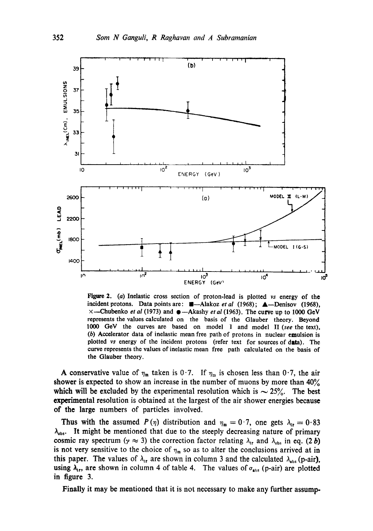

**Figure** 2. (a) **Inelastic cross section of proton-lead is plotted** *vs* **energy of the incident protons.** Data points are: **II**-Alakoz *et al* (1968); **A**-Denisov (1968),  $×$ —Chubenko *et al* (1973) and ●—Akashy *et al* (1963). The curve up to 1000 GeV **represents the values calculated on the basis of the Glauber theory. Beyond**  1000 GeV **the curves are based on model I and model** II *(see* **the text). (b) Accelerator data of inelastic mean free path of protons in nuclear emulsion is plotted** *vs* **energy of the incident protons (refer text for sources of dita). The curve represents the values of inelastic mean free path calculated on the basis of the Glauber theory.** 

**A conservative value of**  $\eta_m$  **taken is 0.7.** If  $\eta_m$  is chosen less than 0.7, the air shower is expected to show an increase in the number of muons by more than  $40\%$ which will be excluded by the experimental resolution which is  $\sim 25\%$ . The best **experimental resolution is obtained at the largest of the air shower energies because of the large numbers of particles involved.** 

**Thus with the assumed**  $P(\eta)$  **distribution and**  $\eta_m = 0.7$ **, one gets**  $\lambda_{tr} = 0.83$  $\lambda_{\text{obs}}$ . It might be mentioned that due to the steeply decreasing nature of primary cosmic ray spectrum ( $\gamma \approx 3$ ) the correction factor relating  $\lambda_{\rm tr}$  and  $\lambda_{\rm obs}$  in eq. (2 b) is not very sensitive to the choice of  $\eta_m$  so as to alter the conclusions arrived at in this paper. The values of  $\lambda_{tr}$  are shown in column 3 and the calculated  $\lambda_{abs}$  (p-air), **using**  $\lambda_{\text{tr}}$ **, are shown in column 4 of table 4.** The values of  $\sigma_{\text{abs}}$  (p-air) are plotted **in figure 3.** 

**Finally it may be mentioned that it is not necessary to make any further assump.**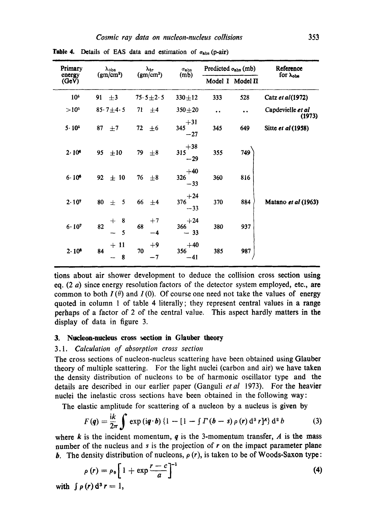| Primary<br>energy<br>(GeV) | $\lambda$ obs<br>(gm/cm <sup>2</sup> ) | $\lambda_{\rm tr}$    | $\sigma_{\rm abs}$    | Predicted $\sigma_{\rm abs}$ (mb) |                      | Reference                   |
|----------------------------|----------------------------------------|-----------------------|-----------------------|-----------------------------------|----------------------|-----------------------------|
|                            |                                        | (gm/cm <sup>2</sup> ) | (m <sub>b</sub> )     |                                   | Model I Model II     | for $\lambda_{obs}$         |
| 10 <sup>5</sup>            | 91<br>$\pm$ 3                          | $75.5 \pm 2.5$        | $330 + 12$            | 333                               | 528                  | Catz et al (1972)           |
| $>10^{5}$                  | $85.7 + 4.5$                           | 71<br>±4              | $350 + 20$            | $\bullet$                         | $\ddot{\phantom{0}}$ | Capdevielle et al<br>(1973) |
| $5.10^{5}$                 | 87<br>$\pm$ 7                          | 72<br>±6              | $+31$<br>345<br>$-27$ | 345                               | 649                  | Sitte et al (1958)          |
| 2.10 <sup>s</sup>          | 95<br>±10                              | 79<br>$\pm$ 8         | $+38$<br>315<br>$-29$ | 355                               | 749                  |                             |
| $6.10^{6}$                 | ± 10<br>92                             | $\pm$ 8<br>76         | $+40$<br>326<br>$-33$ | 360                               | 816                  |                             |
| 2.107                      | 5<br>80<br>$\pm$                       | 66<br>±4              | $+24$<br>376<br>$-33$ | 370                               | 884                  | Matano et al (1963)         |
| $6.10^{7}$                 | 8<br>$+$<br>82<br>5                    | $+7$<br>68<br>-4      | $+24$<br>366<br>$-33$ | 380                               | 937                  |                             |
| $2.10^8$                   | $+11$<br>84<br>8                       | $+9$<br>70<br>$-7$    | $+40$<br>356<br>$-41$ | 385                               | 987                  |                             |

**Table 4.** Details of EAS data and estimation of  $\sigma_{\text{abs}}$  (p-air)

tions about air shower development to deduce the collision cross section using eq.  $(2 \ a)$  since energy resolution factors of the detector system employed, etc., are common to both  $I(\theta)$  and  $I(0)$ . Of course one need not take the values of energy quoted in column 1 of table 4 literally; they represent central values in a range perhaps of a factor of 2 of the central value. This aspect hardly matters in the display of data in figure 3.

### 3. Nucleon-nucleus cross section in Glaubor **theory**

#### *3.1. Calculation of absorption cross section*

The cross sections of nucleon-nucleus scattering have been obtained using Glauber theory of multiple scattering. For the light nuclei (carbon and air) we have taken the density distribution of nucleons to be of harmonic oscillator type and the details are described in our earlier paper (Ganguli *etal* 1973). For the heavier nuclei the inelastic cross sections have been obtained in the following way:

The elastic amplitude for scattering of a nucleon by a nucleus is given by

$$
F(q) = \frac{ik}{2\pi} \int \exp(iq \cdot b) \{1 - [1 - \int \Gamma(b - s) \rho(r) d^{3} r]^{A}\} d^{2} b \qquad (3)
$$

where k is the incident momentum,  $q$  is the 3-momentum transfer,  $A$  is the mass number of the nucleus and s is the projection of  $r$  on the impact parameter plane **b.** The density distribution of nucleons,  $\rho(r)$ , is taken to be of Woods-Saxon type:

$$
\rho(r) = \rho_0 \left[ 1 + \exp \frac{r - c}{a} \right]^{-1}
$$
\n
$$
\rho(r) d^3 r = 1.
$$
\n(4)

with  $\int p(r) d^3$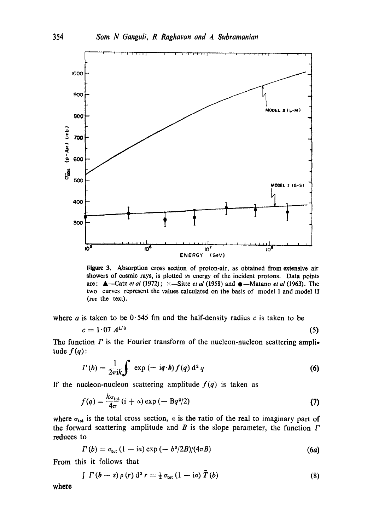

Figure 3. Absorption cross section of proton-air, as obtained from extensive air showers of cosmic rays, is plotted vs energy of the incident protons. Data points are:  $\triangle$ —Catz *et al* (1972);  $\times$ —Sitte *et al* (1958) and  $\triangle$ —Matano *et al* (1963). The two curves represent the values calculated on the basis of model I and model II *(see* the text).

where a is taken to be  $0.545$  fm and the half-density radius c is taken to be

$$
c = 1.07 \ A^{1/3} \tag{5}
$$

The function  $\Gamma$  is the Fourier transform of the nucleon-nucleon scattering amplitude  $f(q)$ :

$$
\Gamma(b) = \frac{1}{2\pi i k} \int \exp\left(-i q \cdot b\right) f(q) d^2 q \tag{6}
$$

If the nucleon-nucleon scattering amplitude  $f(q)$  is taken as

$$
f(q) = \frac{k\sigma_{\text{tot}}}{4\pi} (i + a) \exp(-\beta q^2/2)
$$
 (7)

where  $\sigma_{\text{tot}}$  is the total cross section,  $\alpha$  is the ratio of the real to imaginary part of the forward scattering amplitude and  $B$  is the slope parameter, the function  $\Gamma$ reduces to

$$
\Gamma(b) = \sigma_{\text{tot}} \left(1 - i\alpha\right) \exp\left(-\frac{b^2}{2B}\right) \left((4\pi B)\right) \tag{6a}
$$

From this it follows that

$$
\int T(b-s)\,\rho\left(r\right)\mathrm{d}^3\,r=\tfrac{1}{2}\,\sigma_{\text{tot}}\left(1-\mathrm{i}a\right)\,\tilde{T}\left(b\right) \tag{8}
$$

where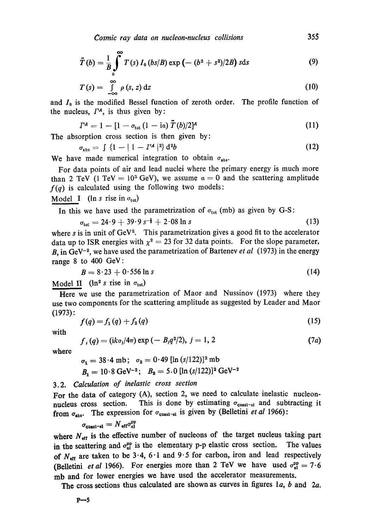$$
\tilde{T}(b) = \frac{1}{B} \int_{0}^{\infty} T(s) I_0 (bs/B) \exp (- (b^2 + s^2)/2B) \text{ sds}
$$
 (9)

$$
T(s) = \int_{-\infty}^{\infty} \rho(s, z) dz
$$
 (10)

and  $I_0$  is the modified Bessel function of zeroth order. The profile function of the nucleus,  $\Gamma^A$ , is thus given by:

$$
T^{A} = 1 - [1 - \sigma_{tot} (1 - i\alpha) \tilde{T}(b)/2]^{A}
$$
 (11)

The absorption cross section is then given by:

$$
\sigma_{\text{abs}} = \int \{1 - |1 - I^A|^2\} \, \mathrm{d}^2 b \tag{12}
$$

We have made numerical integration to obtain  $\sigma_{\text{abs}}$ .

For data points of air and lead nuclei where the primary energy is much more than 2 TeV (1 TeV =  $10^3$  GeV), we assume  $\alpha = 0$  and the scattering amplitude  $f(q)$  is calculated using the following two models:

Model I ( $\ln s$  rise in  $\sigma_{\text{tot}}$ )

In this we have used the parametrization of  $\sigma_{tot}$  (mb) as given by G-S:

$$
\sigma_{\text{tot}} = 24.9 + 39.9 s^{-\frac{1}{2}} + 2.08 \ln s \tag{13}
$$

where s is in unit of  $GeV<sup>2</sup>$ . This parametrization gives a good fit to the accelerator data up to ISR energies with  $\chi^2 = 23$  for 32 data points. For the slope parameter, B, in GeV<sup>-2</sup>, we have used the parametrization of Bartenev *et al* (1973) in the energy range 8 to 400 GeV:

$$
B = 8.23 + 0.556 \ln s \tag{14}
$$

Model II ( $\ln^2 s$  rise in  $\sigma_{\text{tot}}$ )

Here we use the parametrization of Maor and Nussinov (1973) where they use two components for the scattering amplitude as suggested by Leader and Maor (1973):

$$
f(q) = f_1(q) + f_2(q) \tag{15}
$$

with

$$
f, (q) = (ik\sigma_j/4\pi) \exp(-B_j q^2/2), j = 1, 2
$$
 (7*a*)

where

 $\sigma_1 = 38.4 \text{ mb}; \quad \sigma_2 = 0.49 \text{ [ln } (s/122) \text{]}^2 \text{ mb}$  $B_1 = 10.8 \text{ GeV}^{-2}; B_2 = 5.0 \text{ [ln } (s/122) \text{]}^2 \text{ GeV}^{-2}$ 

# 3.2. *Calculation of inelastic cross section*

For the data of category (A), section 2, we need to calculate inelastic nucleonnucleus cross section. This is done by estimating  $\sigma_{quasi-el}$  and subtracting it from  $\sigma_{\text{abs}}$ . The expression for  $\sigma_{\text{quasi-el}}$  is given by (Belletini *et al* 1966):

$$
\sigma_{\rm quasi-el} = N_{\rm eff} \sigma_{\rm ol}^{\rm pp}
$$

where  $N_{\text{eff}}$  is the effective number of nucleons of the target nucleus taking part in the scattering and  $\sigma_{el}^{op}$  is the elementary p-p elastic cross section. The values of  $N_{\text{eff}}$  are taken to be 3.4, 6.1 and 9.5 for carbon, iron and lead respectively (Belletini *et al* 1966). For energies more than 2 TeV we have used  $\sigma_{\text{al}}^{\text{pp}} = 7.6$ mb and for lower energies we have used the accelerator measurements.

The cross sections thus calculated are shown as curves in figures  $1a$ ,  $b$  and  $2a$ .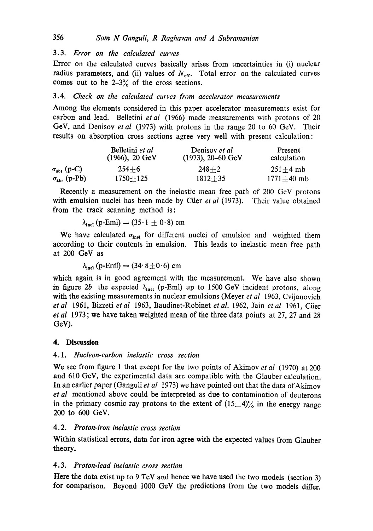# 3.3. *Error on the calculated curves*

Error on the calculated curves basically arises from uncertainties in (i) nuclear radius parameters, and (ii) values of  $N<sub>eff</sub>$ . Total error on the calculated curves comes out to be  $2-3\%$  of the cross sections.

# *3.4. Check on the calculated curves from accelerator measurements*

Among the elements considered in this paper accelerator measurements exist for carbon and lead. Belletini *etal* (1966) made measurements with protons of 20 GeV, and Denisov *et al* (1973) with protons in the range 20 to 60 GeV. Their results on absorption cross sections agree very well with present calculation:

|                              | Belletini et al<br>$(1966), 20 \text{ GeV}$ | Denisov et al<br>$(1973), 20-60$ GeV | Present<br>calculation |
|------------------------------|---------------------------------------------|--------------------------------------|------------------------|
| $\sigma_{\text{abs}}$ (p-C)  | $254 + 6$                                   | $248 + 2$                            | $251 + 4$ mb           |
| $\sigma_{\text{abs}}$ (p-Pb) | $1750 \pm 125$                              | $1812 + 35$                          | $1771 + 40$ mb         |

Recently a measurement on the inelastic mean free path of 200 GeV protons with emulsion nuclei has been made by Cüer *et al* (1973). Their value obtained from the track scanning method is:

$$
\lambda_{\rm inel} \, (\text{p-Eml}) = (35 \cdot 1 \pm 0 \cdot 8) \, \text{cm}
$$

We have calculated  $\sigma_{\text{inel}}$  for different nuclei of emulsion and weighted them according to their contents in emulsion. This leads to inelastic mean free path at 200 GeV as

 $\lambda_{\text{inel}}$  (p-EmI) = (34' 8 $\pm$ 0' 6) cm

which again is in good agreement with the measurement. We have also shown in figure 2b the expected  $\lambda_{\text{inel}}$  (p-Eml) up to 1500 GeV incident protons, along with the existing measurements in nuclear emulsions (Meyer *et al* 1963, Cvijanovich *et al* 1961, Bizzeti *et al* 1963, Baudinet-Robinet *et al.* 1962, Jain *et al* 1961, Crier *et al* 1973 ; we have taken weighted mean of the three data points at 27, 27 and 28 GeV).

## **4. Discussion**

## *4.1. Nucleon-carbon inelastic cross section*

We see from figure 1 that except for the two points of Akimov *et al* (1970) at 200 and 610 GeV, the experimental data are compatible with the Glauber calculation. In an earlier paper (Ganguli *et al* 1973) we have pointed out that the data of Akimov *et al* mentioned above could be interpreted as due to contamination of deuterons in the primary cosmic ray protons to the extent of  $(15\pm 4)\%$  in the energy range 200 to 600 GeV.

## *4.2. Proton-iron inelastic cross section*

Within statistical errors, data for iron agree with the expected values from Glauber theory.

## *4.3. Proton-lead inelastic cross section*

Here the data exist up to 9 TeV and hence we have used the two models (section 3) for comparison. Beyond 1000 GeV the predictions from the two models differ.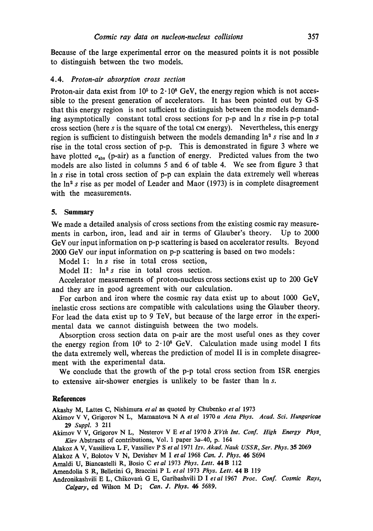Because of the large experimental error on the measured points it is not possible to distinguish between the two models.

#### 4.4. *Proton-air absorption cross section*

Proton-air data exist from  $10<sup>5</sup>$  to  $2 \cdot 10<sup>8</sup>$  GeV, the energy region which is not accessible to the present generation of accelerators. It has been pointed out by G-S that this energy region is not sufficient to distinguish between the models demanding asymptotically constant total cross sections for p-p and In s rise in p-p total cross section (here  $s$  is the square of the total  $\alpha$  energy). Nevertheless, this energy region is sufficient to distinguish between the models demanding  $\ln^2 s$  rise and  $\ln s$ rise in the total cross section of p-p. This is demonstrated in figure 3 where we have plotted  $\sigma_{\text{abs}}$  (p-air) as a function of energy. Predicted values from the two models are also listed in columns 5 and 6 of table 4. We see from figure 3 that In s rise in total cross section of p-p can explain the data extremely well whereas the  $\ln^2 s$  rise as per model of Leader and Maor (1973) is in complete disagreement with the measurements.

#### **5. Summary**

We made a detailed analysis of cross sections from the existing cosmic ray measurements in carbon, iron, lead and air in terms of Glauber's theory. Up to 2000 GeV our input information on p-p scattering is based on accelerator results. Beyond 2000 GeV our input information on p-p scattering is based on two models:

Model I: In s rise in total cross section,

Model II:  $\ln^2 s$  rise in total cross section.

Accelerator measurements of proton-nucleus cross sections exist up to 200 GeV and they are in good agreement with our calculation.

For carbon and iron where the cosmic ray data exist up to about 1000 GeV, inelastic cross sections are compatible with calculations using the Glauber theory. For lead the data exist up to 9 TeV, but because of the large error in the experimental data we cannot distinguish between the two models.

Absorption cross section data on p-air are the most useful ones as they cover the energy region from  $10^5$  to  $2.10^8$  GeV. Calculation made using model I fits the data extremely well, whereas the prediction of model II is in complete disagreement with the experimental data.

We conclude that the growth of the p-p total cross section from ISR energies to extensive air-shower energies is unlikely to be faster than In s.

#### **References**

Akashy M, Lattes C, Nishimura et al as quoted by Chubenko et al 1973

Akimov V V, Grigorov N L, Mamantova N Aet *al* 1970 *a Acta Phys. Acad. Sci. Hungaricae*  29 *Suppl.* 3 211

Akirnov V V, Grigorov N L, Nesterov V E *et al* 1970 *b XVth Int. Conf. High Energy Phys. Kiev* Abstracts of contributions, Vol. 1 paper 3a-40, p. 164

Alakoz A V, Vassilieva L F, Vassiliev P S *eta11971 Izv. Akad. Nauk USSR, Ser. Phys.* 35 2069

Alakoz A V, Bolotov V N, Devishev M Iet *al* 1968 *Can. J. Phys.* 46 \$694

Amaldi U, Biancastelli R, Bosio C *etal* 1973 *Phys. Lett.* 44B 112

Amendolia S R, BeUetini G, Braccini P L *etal* 1973 *Phys. Lett.* 44 B 119

Androaikashvili E L, Chikovadt G E, Garibashvili D I *etal* 1967 *Proc. Conf. Cosmic Rays, Calgary,* ed Wilson M D; *Can. J. Phys. 46* 5689.